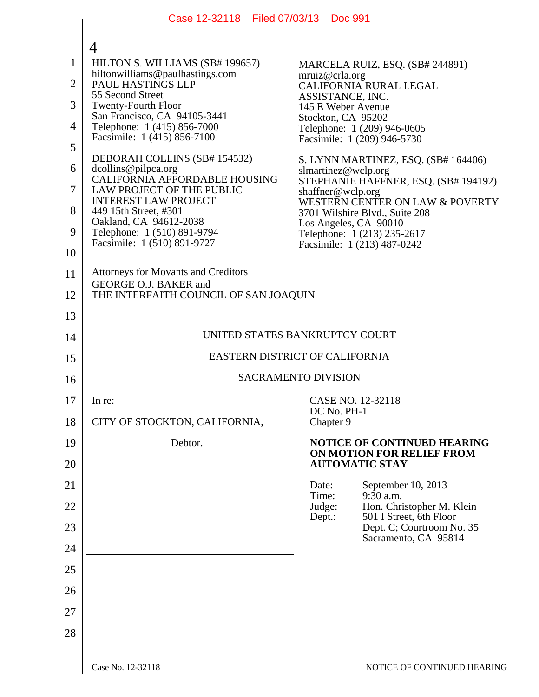|                | Case 12-32118   Filed 07/03/13                                      | Doc 991                                                                  |
|----------------|---------------------------------------------------------------------|--------------------------------------------------------------------------|
|                |                                                                     |                                                                          |
| $\mathbf{1}$   | 4<br>HILTON S. WILLIAMS (SB# 199657)                                | MARCELA RUIZ, ESQ. (SB# 244891)                                          |
| $\overline{2}$ | hiltonwilliams@paulhastings.com<br>PAUL HASTINGS LLP                | mruiz@crla.org<br>CALIFORNIA RURAL LEGAL                                 |
| 3              | 55 Second Street<br><b>Twenty-Fourth Floor</b>                      | ASSISTANCE, INC.<br>145 E Weber Avenue                                   |
| 4              | San Francisco, CA 94105-3441<br>Telephone: 1 (415) 856-7000         | Stockton, CA 95202<br>Telephone: 1 (209) 946-0605                        |
| 5              | Facsimile: 1 (415) 856-7100                                         | Facsimile: 1 (209) 946-5730                                              |
| 6              | DEBORAH COLLINS (SB# 154532)<br>dcollins@pilpca.org                 | S. LYNN MARTINEZ, ESQ. (SB# 164406)<br>slmartinez@wclp.org               |
| 7              | CALIFORNIA AFFORDABLE HOUSING<br>LAW PROJECT OF THE PUBLIC          | STEPHANIE HAFFNER, ESQ. (SB# 194192)<br>shaffner@wclp.org                |
| 8              | <b>INTEREST LAW PROJECT</b><br>449 15th Street, #301                | WESTERN CENTER ON LAW & POVERTY<br>3701 Wilshire Blvd., Suite 208        |
| 9              | Oakland, CA 94612-2038<br>Telephone: 1 (510) 891-9794               | Los Angeles, CA 90010<br>Telephone: 1 (213) 235-2617                     |
| 10             | Facsimile: 1 (510) 891-9727                                         | Facsimile: 1 (213) 487-0242                                              |
| 11             | <b>Attorneys for Movants and Creditors</b><br>GEORGE O.J. BAKER and |                                                                          |
| 12             | THE INTERFAITH COUNCIL OF SAN JOAQUIN                               |                                                                          |
| 13             |                                                                     |                                                                          |
| 14             | UNITED STATES BANKRUPTCY COURT                                      |                                                                          |
| 15             | EASTERN DISTRICT OF CALIFORNIA                                      |                                                                          |
| 16             | <b>SACRAMENTO DIVISION</b>                                          |                                                                          |
| 17             | In re:                                                              | CASE NO. 12-32118<br>DC No. PH-1                                         |
| 18             | CITY OF STOCKTON, CALIFORNIA,                                       | Chapter 9                                                                |
| 19             | Debtor.                                                             | <b>NOTICE OF CONTINUED HEARING</b><br>ON MOTION FOR RELIEF FROM          |
| 20             |                                                                     | <b>AUTOMATIC STAY</b>                                                    |
| 21             |                                                                     | September 10, 2013<br>Date:<br>Time:<br>9:30 a.m.                        |
| 22             |                                                                     | Hon. Christopher M. Klein<br>Judge:<br>501 I Street, 6th Floor<br>Dept.: |
| 23             |                                                                     | Dept. C; Courtroom No. 35<br>Sacramento, CA 95814                        |
| 24             |                                                                     |                                                                          |
| 25             |                                                                     |                                                                          |
| 26             |                                                                     |                                                                          |
| 27             |                                                                     |                                                                          |
| 28             |                                                                     |                                                                          |
|                |                                                                     |                                                                          |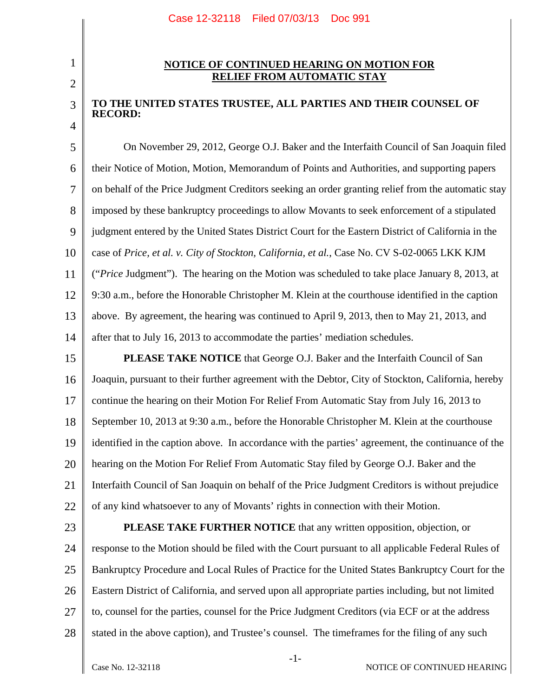## 2

3

4

1

## **NOTICE OF CONTINUED HEARING ON MOTION FOR RELIEF FROM AUTOMATIC STAY**

## **TO THE UNITED STATES TRUSTEE, ALL PARTIES AND THEIR COUNSEL OF RECORD:**

5 6 7 8 9 10 11 12 13 14 On November 29, 2012, George O.J. Baker and the Interfaith Council of San Joaquin filed their Notice of Motion, Motion, Memorandum of Points and Authorities, and supporting papers on behalf of the Price Judgment Creditors seeking an order granting relief from the automatic stay imposed by these bankruptcy proceedings to allow Movants to seek enforcement of a stipulated judgment entered by the United States District Court for the Eastern District of California in the case of *Price, et al. v. City of Stockton, California, et al.*, Case No. CV S-02-0065 LKK KJM ("*Price* Judgment"). The hearing on the Motion was scheduled to take place January 8, 2013, at 9:30 a.m., before the Honorable Christopher M. Klein at the courthouse identified in the caption above. By agreement, the hearing was continued to April 9, 2013, then to May 21, 2013, and after that to July 16, 2013 to accommodate the parties' mediation schedules.

15 16 17 18 19 20 21 22 **PLEASE TAKE NOTICE** that George O.J. Baker and the Interfaith Council of San Joaquin, pursuant to their further agreement with the Debtor, City of Stockton, California, hereby continue the hearing on their Motion For Relief From Automatic Stay from July 16, 2013 to September 10, 2013 at 9:30 a.m., before the Honorable Christopher M. Klein at the courthouse identified in the caption above. In accordance with the parties' agreement, the continuance of the hearing on the Motion For Relief From Automatic Stay filed by George O.J. Baker and the Interfaith Council of San Joaquin on behalf of the Price Judgment Creditors is without prejudice of any kind whatsoever to any of Movants' rights in connection with their Motion.

23

24

25

26

27

28

**PLEASE TAKE FURTHER NOTICE** that any written opposition, objection, or response to the Motion should be filed with the Court pursuant to all applicable Federal Rules of Bankruptcy Procedure and Local Rules of Practice for the United States Bankruptcy Court for the Eastern District of California, and served upon all appropriate parties including, but not limited to, counsel for the parties, counsel for the Price Judgment Creditors (via ECF or at the address stated in the above caption), and Trustee's counsel. The timeframes for the filing of any such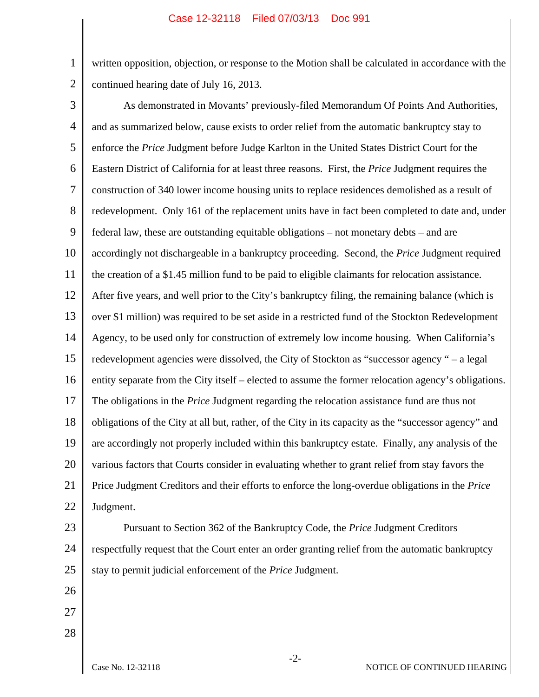1 2 written opposition, objection, or response to the Motion shall be calculated in accordance with the continued hearing date of July 16, 2013.

3 4 5 6 7 8 9 10 11 12 13 14 15 16 17 18 19 20 21 22 As demonstrated in Movants' previously-filed Memorandum Of Points And Authorities, and as summarized below, cause exists to order relief from the automatic bankruptcy stay to enforce the *Price* Judgment before Judge Karlton in the United States District Court for the Eastern District of California for at least three reasons. First, the *Price* Judgment requires the construction of 340 lower income housing units to replace residences demolished as a result of redevelopment. Only 161 of the replacement units have in fact been completed to date and, under federal law, these are outstanding equitable obligations – not monetary debts – and are accordingly not dischargeable in a bankruptcy proceeding. Second, the *Price* Judgment required the creation of a \$1.45 million fund to be paid to eligible claimants for relocation assistance. After five years, and well prior to the City's bankruptcy filing, the remaining balance (which is over \$1 million) was required to be set aside in a restricted fund of the Stockton Redevelopment Agency, to be used only for construction of extremely low income housing. When California's redevelopment agencies were dissolved, the City of Stockton as "successor agency " – a legal entity separate from the City itself – elected to assume the former relocation agency's obligations. The obligations in the *Price* Judgment regarding the relocation assistance fund are thus not obligations of the City at all but, rather, of the City in its capacity as the "successor agency" and are accordingly not properly included within this bankruptcy estate. Finally, any analysis of the various factors that Courts consider in evaluating whether to grant relief from stay favors the Price Judgment Creditors and their efforts to enforce the long-overdue obligations in the *Price* Judgment.

23 24 25 Pursuant to Section 362 of the Bankruptcy Code, the *Price* Judgment Creditors respectfully request that the Court enter an order granting relief from the automatic bankruptcy stay to permit judicial enforcement of the *Price* Judgment.

- 26
- 27 28